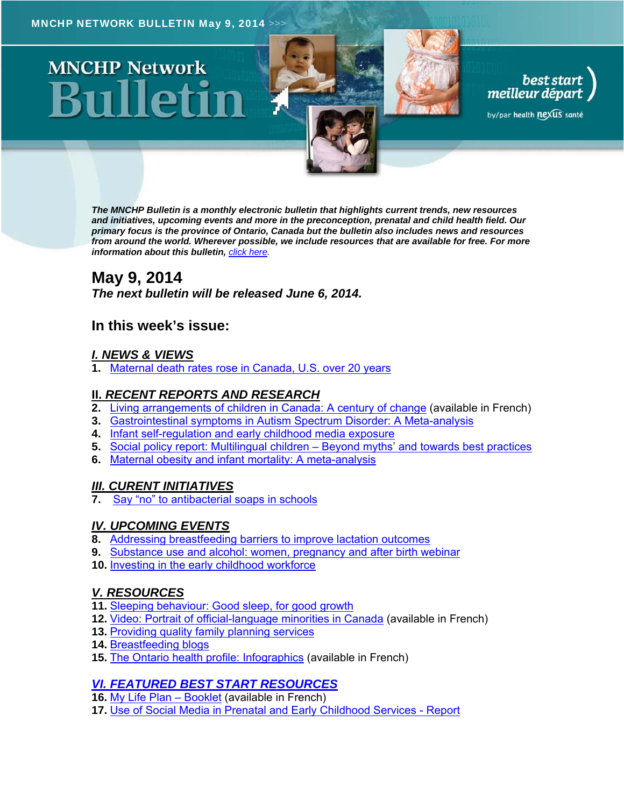# **MNCHP Network**

*The MNCHP Bulletin is a monthly electronic bulletin that highlights current trends, new resources and initiatives, upcoming events and more in the preconception, prenatal and child health field. Our primary focus is the province of Ontario, Canada but the bulletin also includes news and resources from around the world. Wherever possible, we include resources that are available for free. For more information about this bulletin, click here.* 

best start<br>meilleur départ

by/par health nexus santé

# **May 9, 2014**

*The next bulletin will be released June 6, 2014.* 

# **In this week's issue:**

# *I. NEWS & VIEWS*

**1.** Maternal death rates rose in Canada, U.S. over 20 years

# **II.** *RECENT REPORTS AND RESEARCH*

- **2.** Living arrangements of children in Canada: A century of change (available in French)
- **3.** Gastrointestinal symptoms in Autism Spectrum Disorder: A Meta-analysis
- **4.** Infant self-regulation and early childhood media exposure
- **5.** Social policy report: Multilingual children Beyond myths' and towards best practices
- **6.** Maternal obesity and infant mortality: A meta-analysis

# *III. CURENT INITIATIVES*

Say "no" to antibacterial soaps in schools

# *IV. UPCOMING EVENTS*

- **8.** Addressing breastfeeding barriers to improve lactation outcomes
- **9.** Substance use and alcohol: women, pregnancy and after birth webinar
- **10.** Investing in the early childhood workforce

# *V. RESOURCES*

- **11.** Sleeping behaviour: Good sleep, for good growth
- **12.** Video: Portrait of official-language minorities in Canada (available in French)
- **13.** Providing quality family planning services
- **14.** Breastfeeding blogs
- **15.** The Ontario health profile: Infographics (available in French)

# *VI. FEATURED BEST START RESOURCES*

- **16.** My Life Plan Booklet (available in French)
- **17.** Use of Social Media in Prenatal and Early Childhood Services Report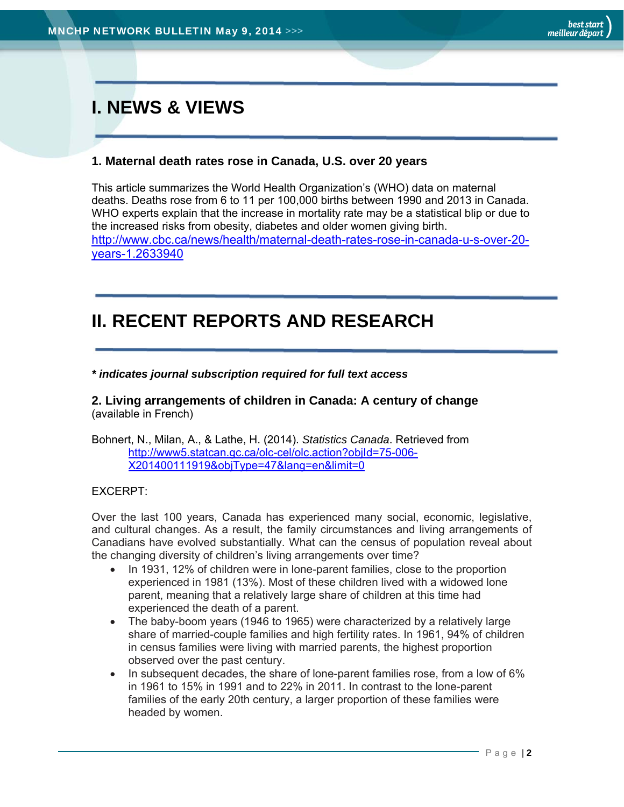# **I. NEWS & VIEWS**

# **1. Maternal death rates rose in Canada, U.S. over 20 years**

This article summarizes the World Health Organization's (WHO) data on maternal deaths. Deaths rose from 6 to 11 per 100,000 births between 1990 and 2013 in Canada. WHO experts explain that the increase in mortality rate may be a statistical blip or due to the increased risks from obesity, diabetes and older women giving birth. http://www.cbc.ca/news/health/maternal-death-rates-rose-in-canada-u-s-over-20 years-1.2633940

# **II. RECENT REPORTS AND RESEARCH**

*\* indicates journal subscription required for full text access* 

**2. Living arrangements of children in Canada: A century of change**  (available in French)

Bohnert, N., Milan, A., & Lathe, H. (2014). *Statistics Canada*. Retrieved from http://www5.statcan.gc.ca/olc-cel/olc.action?objId=75-006- X201400111919&objType=47&lang=en&limit=0

#### EXCERPT:

Over the last 100 years, Canada has experienced many social, economic, legislative, and cultural changes. As a result, the family circumstances and living arrangements of Canadians have evolved substantially. What can the census of population reveal about the changing diversity of children's living arrangements over time?

- In 1931, 12% of children were in lone-parent families, close to the proportion experienced in 1981 (13%). Most of these children lived with a widowed lone parent, meaning that a relatively large share of children at this time had experienced the death of a parent.
- The baby-boom years (1946 to 1965) were characterized by a relatively large share of married-couple families and high fertility rates. In 1961, 94% of children in census families were living with married parents, the highest proportion observed over the past century.
- In subsequent decades, the share of lone-parent families rose, from a low of 6% in 1961 to 15% in 1991 and to 22% in 2011. In contrast to the lone-parent families of the early 20th century, a larger proportion of these families were headed by women.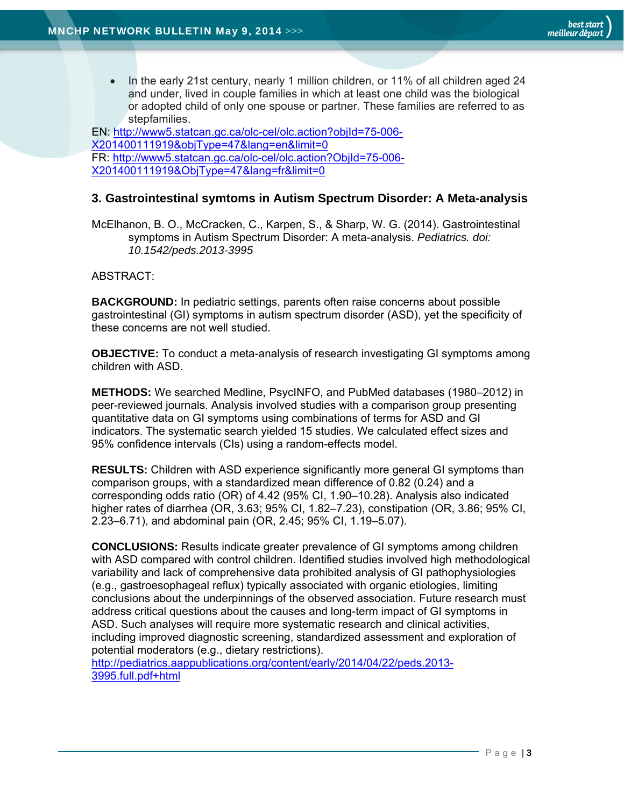• In the early 21st century, nearly 1 million children, or 11% of all children aged 24 and under, lived in couple families in which at least one child was the biological or adopted child of only one spouse or partner. These families are referred to as stepfamilies.

EN: http://www5.statcan.gc.ca/olc-cel/olc.action?objId=75-006- X201400111919&objType=47&lang=en&limit=0 FR: http://www5.statcan.gc.ca/olc-cel/olc.action?ObjId=75-006- X201400111919&ObjType=47&lang=fr&limit=0

## **3. Gastrointestinal symtoms in Autism Spectrum Disorder: A Meta-analysis**

McElhanon, B. O., McCracken, C., Karpen, S., & Sharp, W. G. (2014). Gastrointestinal symptoms in Autism Spectrum Disorder: A meta-analysis. *Pediatrics. doi: 10.1542/peds.2013-3995*

ABSTRACT:

**BACKGROUND:** In pediatric settings, parents often raise concerns about possible gastrointestinal (GI) symptoms in autism spectrum disorder (ASD), yet the specificity of these concerns are not well studied.

**OBJECTIVE:** To conduct a meta-analysis of research investigating GI symptoms among children with ASD.

**METHODS:** We searched Medline, PsycINFO, and PubMed databases (1980–2012) in peer-reviewed journals. Analysis involved studies with a comparison group presenting quantitative data on GI symptoms using combinations of terms for ASD and GI indicators. The systematic search yielded 15 studies. We calculated effect sizes and 95% confidence intervals (CIs) using a random-effects model.

**RESULTS:** Children with ASD experience significantly more general GI symptoms than comparison groups, with a standardized mean difference of 0.82 (0.24) and a corresponding odds ratio (OR) of 4.42 (95% CI, 1.90–10.28). Analysis also indicated higher rates of diarrhea (OR, 3.63; 95% CI, 1.82–7.23), constipation (OR, 3.86; 95% CI, 2.23–6.71), and abdominal pain (OR, 2.45; 95% CI, 1.19–5.07).

**CONCLUSIONS:** Results indicate greater prevalence of GI symptoms among children with ASD compared with control children. Identified studies involved high methodological variability and lack of comprehensive data prohibited analysis of GI pathophysiologies (e.g., gastroesophageal reflux) typically associated with organic etiologies, limiting conclusions about the underpinnings of the observed association. Future research must address critical questions about the causes and long-term impact of GI symptoms in ASD. Such analyses will require more systematic research and clinical activities, including improved diagnostic screening, standardized assessment and exploration of potential moderators (e.g., dietary restrictions).

http://pediatrics.aappublications.org/content/early/2014/04/22/peds.2013- 3995.full.pdf+html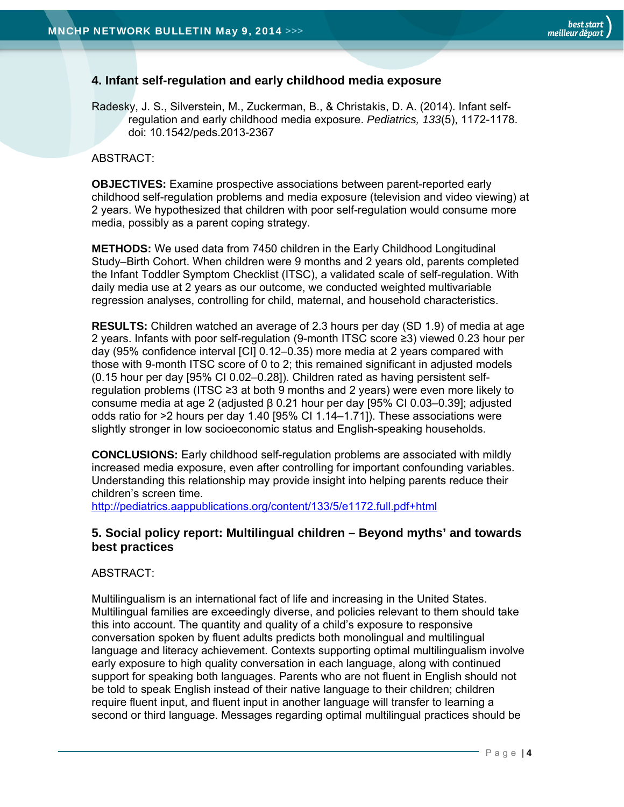## **4. Infant self-regulation and early childhood media exposure**

Radesky, J. S., Silverstein, M., Zuckerman, B., & Christakis, D. A. (2014). Infant selfregulation and early childhood media exposure. *Pediatrics, 133*(5), 1172-1178. doi: 10.1542/peds.2013-2367

#### ABSTRACT:

**OBJECTIVES:** Examine prospective associations between parent-reported early childhood self-regulation problems and media exposure (television and video viewing) at 2 years. We hypothesized that children with poor self-regulation would consume more media, possibly as a parent coping strategy.

**METHODS:** We used data from 7450 children in the Early Childhood Longitudinal Study–Birth Cohort. When children were 9 months and 2 years old, parents completed the Infant Toddler Symptom Checklist (ITSC), a validated scale of self-regulation. With daily media use at 2 years as our outcome, we conducted weighted multivariable regression analyses, controlling for child, maternal, and household characteristics.

**RESULTS:** Children watched an average of 2.3 hours per day (SD 1.9) of media at age 2 years. Infants with poor self-regulation (9-month ITSC score ≥3) viewed 0.23 hour per day (95% confidence interval [CI] 0.12–0.35) more media at 2 years compared with those with 9-month ITSC score of 0 to 2; this remained significant in adjusted models (0.15 hour per day [95% CI 0.02–0.28]). Children rated as having persistent selfregulation problems (ITSC ≥3 at both 9 months and 2 years) were even more likely to consume media at age 2 (adjusted β 0.21 hour per day [95% CI 0.03–0.39]; adjusted odds ratio for >2 hours per day 1.40 [95% CI 1.14–1.71]). These associations were slightly stronger in low socioeconomic status and English-speaking households.

**CONCLUSIONS:** Early childhood self-regulation problems are associated with mildly increased media exposure, even after controlling for important confounding variables. Understanding this relationship may provide insight into helping parents reduce their children's screen time.

http://pediatrics.aappublications.org/content/133/5/e1172.full.pdf+html

## **5. Social policy report: Multilingual children – Beyond myths' and towards best practices**

#### ABSTRACT:

Multilingualism is an international fact of life and increasing in the United States. Multilingual families are exceedingly diverse, and policies relevant to them should take this into account. The quantity and quality of a child's exposure to responsive conversation spoken by fluent adults predicts both monolingual and multilingual language and literacy achievement. Contexts supporting optimal multilingualism involve early exposure to high quality conversation in each language, along with continued support for speaking both languages. Parents who are not fluent in English should not be told to speak English instead of their native language to their children; children require fluent input, and fluent input in another language will transfer to learning a second or third language. Messages regarding optimal multilingual practices should be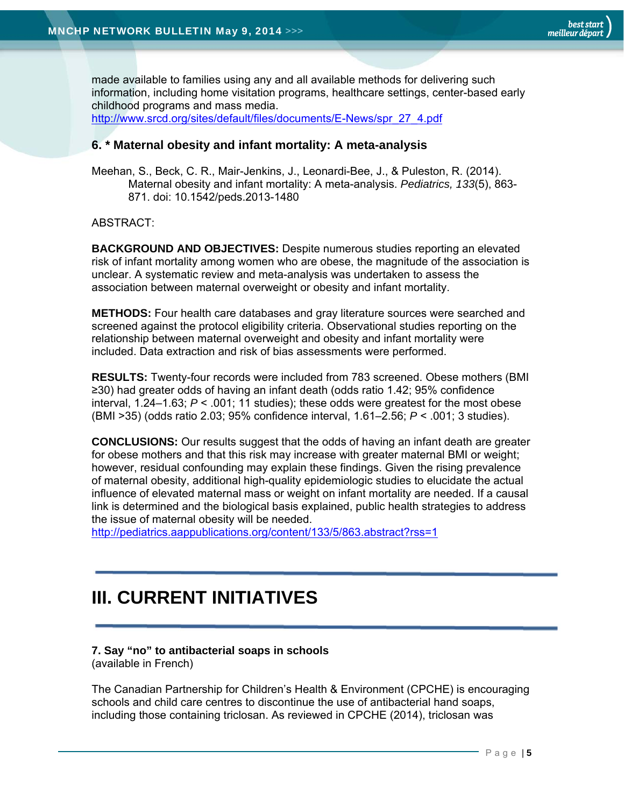made available to families using any and all available methods for delivering such information, including home visitation programs, healthcare settings, center-based early childhood programs and mass media. http://www.srcd.org/sites/default/files/documents/E-News/spr\_27\_4.pdf

## **6. \* Maternal obesity and infant mortality: A meta-analysis**

Meehan, S., Beck, C. R., Mair-Jenkins, J., Leonardi-Bee, J., & Puleston, R. (2014). Maternal obesity and infant mortality: A meta-analysis. *Pediatrics, 133*(5), 863- 871. doi: 10.1542/peds.2013-1480

#### ABSTRACT:

**BACKGROUND AND OBJECTIVES:** Despite numerous studies reporting an elevated risk of infant mortality among women who are obese, the magnitude of the association is unclear. A systematic review and meta-analysis was undertaken to assess the association between maternal overweight or obesity and infant mortality.

**METHODS:** Four health care databases and gray literature sources were searched and screened against the protocol eligibility criteria. Observational studies reporting on the relationship between maternal overweight and obesity and infant mortality were included. Data extraction and risk of bias assessments were performed.

**RESULTS:** Twenty-four records were included from 783 screened. Obese mothers (BMI ≥30) had greater odds of having an infant death (odds ratio 1.42; 95% confidence interval, 1.24–1.63; *P* < .001; 11 studies); these odds were greatest for the most obese (BMI >35) (odds ratio 2.03; 95% confidence interval, 1.61–2.56; *P* < .001; 3 studies).

**CONCLUSIONS:** Our results suggest that the odds of having an infant death are greater for obese mothers and that this risk may increase with greater maternal BMI or weight; however, residual confounding may explain these findings. Given the rising prevalence of maternal obesity, additional high-quality epidemiologic studies to elucidate the actual influence of elevated maternal mass or weight on infant mortality are needed. If a causal link is determined and the biological basis explained, public health strategies to address the issue of maternal obesity will be needed.

http://pediatrics.aappublications.org/content/133/5/863.abstract?rss=1

# **III. CURRENT INITIATIVES**

#### **7. Say "no" to antibacterial soaps in schools**

(available in French)

The Canadian Partnership for Children's Health & Environment (CPCHE) is encouraging schools and child care centres to discontinue the use of antibacterial hand soaps, including those containing triclosan. As reviewed in CPCHE (2014), triclosan was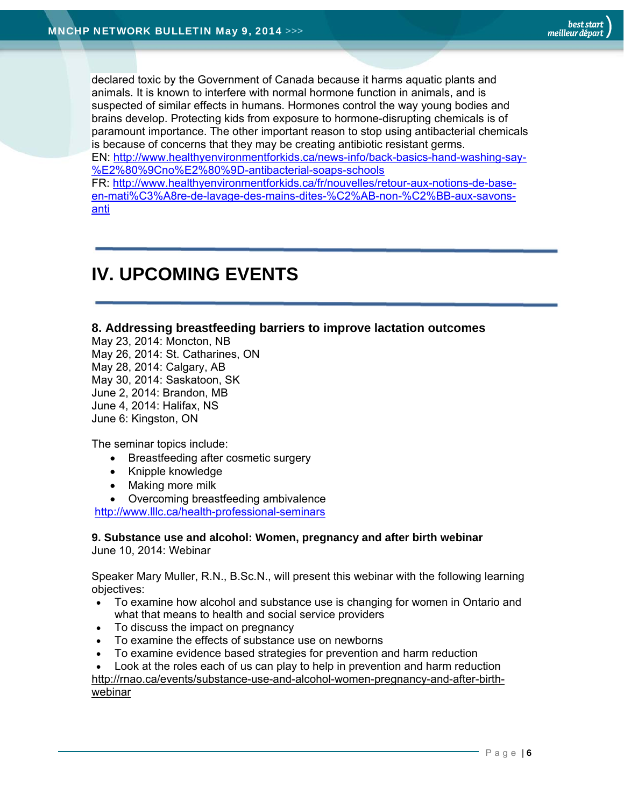declared toxic by the Government of Canada because it harms aquatic plants and animals. It is known to interfere with normal hormone function in animals, and is suspected of similar effects in humans. Hormones control the way young bodies and brains develop. Protecting kids from exposure to hormone-disrupting chemicals is of paramount importance. The other important reason to stop using antibacterial chemicals is because of concerns that they may be creating antibiotic resistant germs. EN: http://www.healthyenvironmentforkids.ca/news-info/back-basics-hand-washing-say- %E2%80%9Cno%E2%80%9D-antibacterial-soaps-schools FR: http://www.healthyenvironmentforkids.ca/fr/nouvelles/retour-aux-notions-de-baseen-mati%C3%A8re-de-lavage-des-mains-dites-%C2%AB-non-%C2%BB-aux-savons-

anti

# **IV. UPCOMING EVENTS**

## **8. Addressing breastfeeding barriers to improve lactation outcomes**

May 23, 2014: Moncton, NB May 26, 2014: St. Catharines, ON May 28, 2014: Calgary, AB May 30, 2014: Saskatoon, SK June 2, 2014: Brandon, MB June 4, 2014: Halifax, NS June 6: Kingston, ON

The seminar topics include:

- Breastfeeding after cosmetic surgery
- Knipple knowledge
- Making more milk
- Overcoming breastfeeding ambivalence

http://www.lllc.ca/health-professional-seminars

#### **9. Substance use and alcohol: Women, pregnancy and after birth webinar**  June 10, 2014: Webinar

Speaker Mary Muller, R.N., B.Sc.N., will present this webinar with the following learning objectives:

- To examine how alcohol and substance use is changing for women in Ontario and what that means to health and social service providers
- To discuss the impact on pregnancy
- To examine the effects of substance use on newborns
- To examine evidence based strategies for prevention and harm reduction
- Look at the roles each of us can play to help in prevention and harm reduction

http://rnao.ca/events/substance-use-and-alcohol-women-pregnancy-and-after-birthwebinar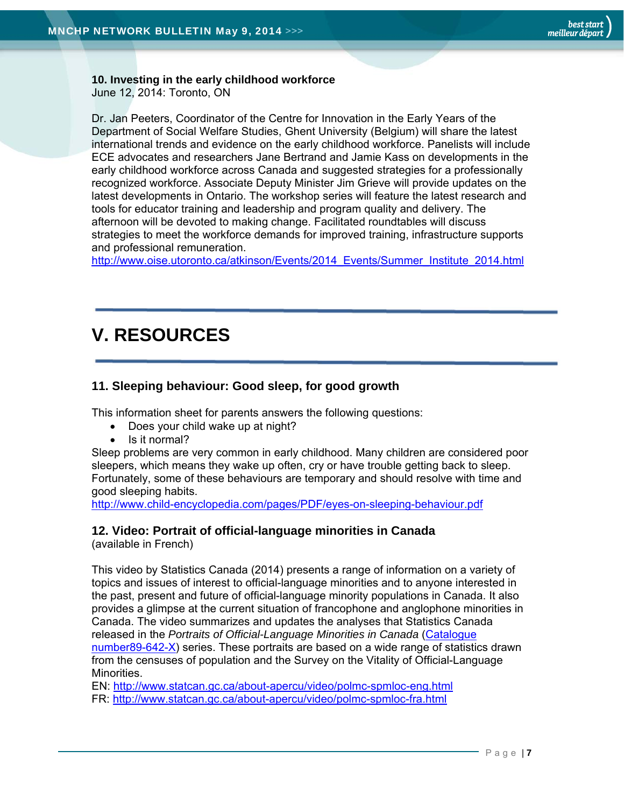#### **10. Investing in the early childhood workforce**  June 12, 2014: Toronto, ON

Dr. Jan Peeters, Coordinator of the Centre for Innovation in the Early Years of the Department of Social Welfare Studies, Ghent University (Belgium) will share the latest international trends and evidence on the early childhood workforce. Panelists will include ECE advocates and researchers Jane Bertrand and Jamie Kass on developments in the early childhood workforce across Canada and suggested strategies for a professionally recognized workforce. Associate Deputy Minister Jim Grieve will provide updates on the latest developments in Ontario. The workshop series will feature the latest research and tools for educator training and leadership and program quality and delivery. The afternoon will be devoted to making change. Facilitated roundtables will discuss strategies to meet the workforce demands for improved training, infrastructure supports and professional remuneration.

http://www.oise.utoronto.ca/atkinson/Events/2014\_Events/Summer\_Institute\_2014.html

# **V. RESOURCES**

# **11. Sleeping behaviour: Good sleep, for good growth**

This information sheet for parents answers the following questions:

- Does your child wake up at night?
- Is it normal?

Sleep problems are very common in early childhood. Many children are considered poor sleepers, which means they wake up often, cry or have trouble getting back to sleep. Fortunately, some of these behaviours are temporary and should resolve with time and good sleeping habits.

http://www.child-encyclopedia.com/pages/PDF/eyes-on-sleeping-behaviour.pdf

#### **12. Video: Portrait of official-language minorities in Canada**

(available in French)

This video by Statistics Canada (2014) presents a range of information on a variety of topics and issues of interest to official-language minorities and to anyone interested in the past, present and future of official-language minority populations in Canada. It also provides a glimpse at the current situation of francophone and anglophone minorities in Canada. The video summarizes and updates the analyses that Statistics Canada released in the *Portraits of Official-Language Minorities in Canada* (Catalogue number89-642-X) series. These portraits are based on a wide range of statistics drawn from the censuses of population and the Survey on the Vitality of Official-Language Minorities.

EN: http://www.statcan.gc.ca/about-apercu/video/polmc-spmloc-eng.html

FR: http://www.statcan.gc.ca/about-apercu/video/polmc-spmloc-fra.html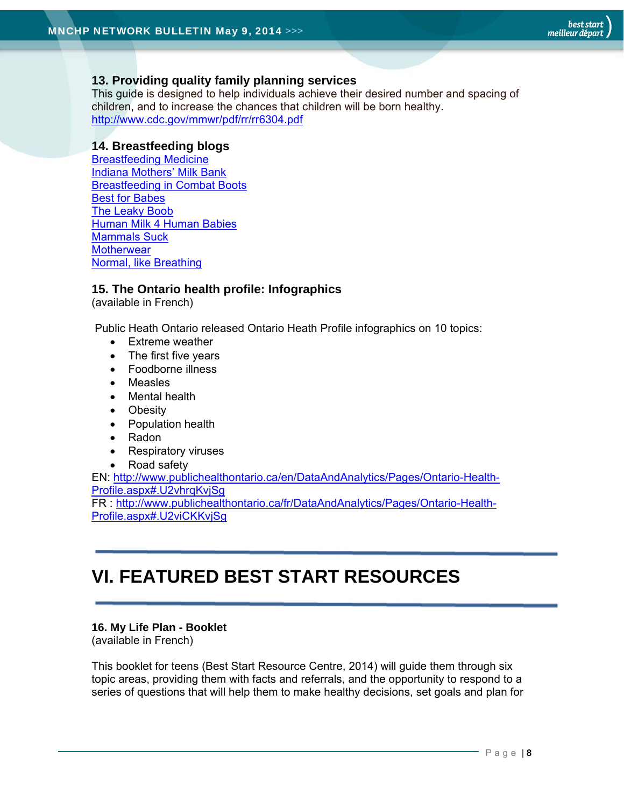# **13. Providing quality family planning services**

This guide is designed to help individuals achieve their desired number and spacing of children, and to increase the chances that children will be born healthy. http://www.cdc.gov/mmwr/pdf/rr/rr6304.pdf

## **14. Breastfeeding blogs**

Breastfeeding Medicine Indiana Mothers' Milk Bank Breastfeeding in Combat Boots Best for Babes The Leaky Boob Human Milk 4 Human Babies Mammals Suck **Motherwear** Normal, like Breathing

# **15. The Ontario health profile: Infographics**

(available in French)

Public Heath Ontario released Ontario Heath Profile infographics on 10 topics:

- Extreme weather
- The first five years
- Foodborne illness
- Measles
- Mental health
- Obesity
- Population health
- Radon
- Respiratory viruses
- Road safety

EN: http://www.publichealthontario.ca/en/DataAndAnalytics/Pages/Ontario-Health-Profile.aspx#.U2vhrqKvjSg

FR : http://www.publichealthontario.ca/fr/DataAndAnalytics/Pages/Ontario-Health-Profile.aspx#.U2viCKKvjSg

# **VI. FEATURED BEST START RESOURCES**

#### **16. My Life Plan - Booklet**

(available in French)

This booklet for teens (Best Start Resource Centre, 2014) will guide them through six topic areas, providing them with facts and referrals, and the opportunity to respond to a series of questions that will help them to make healthy decisions, set goals and plan for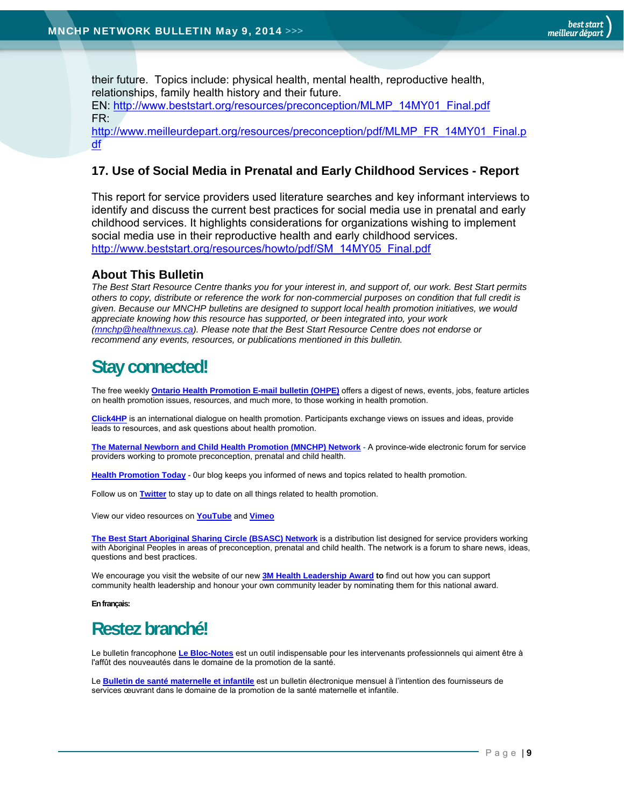their future. Topics include: physical health, mental health, reproductive health, relationships, family health history and their future.

EN: http://www.beststart.org/resources/preconception/MLMP\_14MY01\_Final.pdf FR:

http://www.meilleurdepart.org/resources/preconception/pdf/MLMP\_FR\_14MY01\_Final.p df

## **17. Use of Social Media in Prenatal and Early Childhood Services - Report**

This report for service providers used literature searches and key informant interviews to identify and discuss the current best practices for social media use in prenatal and early childhood services. It highlights considerations for organizations wishing to implement social media use in their reproductive health and early childhood services. http://www.beststart.org/resources/howto/pdf/SM\_14MY05\_Final.pdf

## **About This Bulletin**

*The Best Start Resource Centre thanks you for your interest in, and support of, our work. Best Start permits others to copy, distribute or reference the work for non-commercial purposes on condition that full credit is given. Because our MNCHP bulletins are designed to support local health promotion initiatives, we would appreciate knowing how this resource has supported, or been integrated into, your work (mnchp@healthnexus.ca). Please note that the Best Start Resource Centre does not endorse or recommend any events, resources, or publications mentioned in this bulletin.* 

# **Stay connected!**

The free weekly **Ontario Health Promotion E-mail bulletin (OHPE)** offers a digest of news, events, jobs, feature articles on health promotion issues, resources, and much more, to those working in health promotion.

**Click4HP** is an international dialogue on health promotion. Participants exchange views on issues and ideas, provide leads to resources, and ask questions about health promotion.

**The Maternal Newborn and Child Health Promotion (MNCHP) Network -** A province-wide electronic forum for service providers working to promote preconception, prenatal and child health.

**Health Promotion Today** - 0ur blog keeps you informed of news and topics related to health promotion.

Follow us on **Twitter** to stay up to date on all things related to health promotion.

View our video resources on **YouTube** and **Vimeo** 

**The Best Start Aboriginal Sharing Circle (BSASC) Network** is a distribution list designed for service providers working with Aboriginal Peoples in areas of preconception, prenatal and child health. The network is a forum to share news, ideas, questions and best practices.

We encourage you visit the website of our new **3M Health Leadership Award to** find out how you can support community health leadership and honour your own community leader by nominating them for this national award.

**En français:** 

# **Restez branché!**

Le bulletin francophone **Le Bloc-Notes** est un outil indispensable pour les intervenants professionnels qui aiment être à l'affût des nouveautés dans le domaine de la promotion de la santé.

Le **Bulletin de santé maternelle et infantile** est un bulletin électronique mensuel à l'intention des fournisseurs de services œuvrant dans le domaine de la promotion de la santé maternelle et infantile.